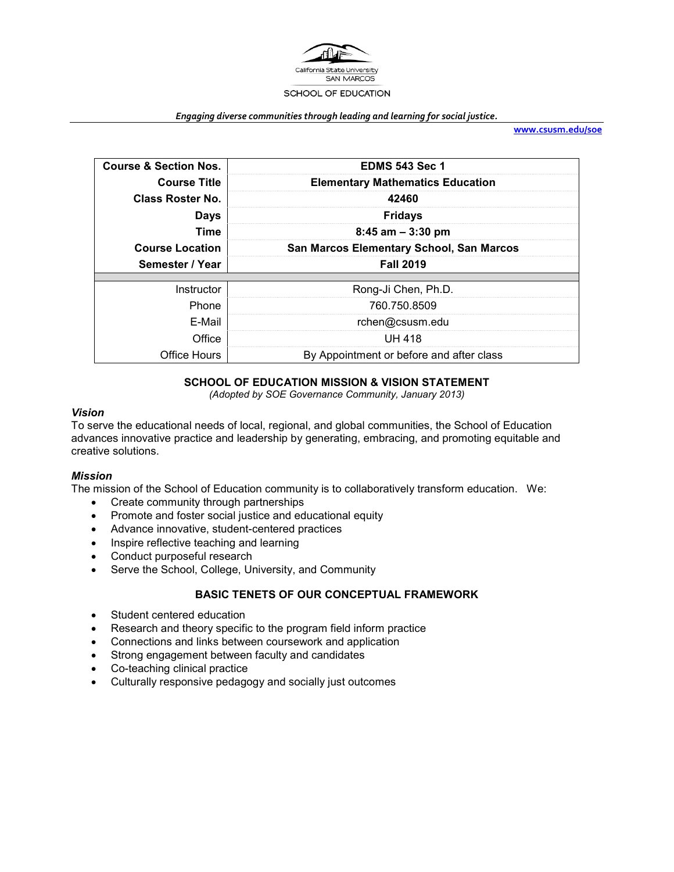

#### *Engaging diverse communities through leading and learning for social justice.*

**[www.csusm.edu/soe](http://www.csusm.edu/soe)**

| <b>Course &amp; Section Nos.</b> | <b>EDMS 543 Sec 1</b>                    |
|----------------------------------|------------------------------------------|
| <b>Course Title</b>              | <b>Elementary Mathematics Education</b>  |
| <b>Class Roster No.</b>          | 42460                                    |
| <b>Days</b>                      | <b>Fridays</b>                           |
| Time                             | $8:45$ am $-3:30$ pm                     |
| <b>Course Location</b>           | San Marcos Elementary School, San Marcos |
| Semester / Year                  | <b>Fall 2019</b>                         |
|                                  |                                          |
| Instructor                       | Rong-Ji Chen, Ph.D.                      |
|                                  |                                          |
| Phone                            | 760.750.8509                             |
| E-Mail                           | rchen@csusm.edu                          |
| Office                           | <b>UH 418</b>                            |

## **SCHOOL OF EDUCATION MISSION & VISION STATEMENT**

*(Adopted by SOE Governance Community, January 2013)*

### *Vision*

To serve the educational needs of local, regional, and global communities, the School of Education advances innovative practice and leadership by generating, embracing, and promoting equitable and creative solutions.

### *Mission*

The mission of the School of Education community is to collaboratively transform education. We:

- Create community through partnerships
- Promote and foster social justice and educational equity
- Advance innovative, student-centered practices
- Inspire reflective teaching and learning
- Conduct purposeful research
- Serve the School, College, University, and Community

# **BASIC TENETS OF OUR CONCEPTUAL FRAMEWORK**

- Student centered education
- Research and theory specific to the program field inform practice
- Connections and links between coursework and application
- Strong engagement between faculty and candidates
- Co-teaching clinical practice
- Culturally responsive pedagogy and socially just outcomes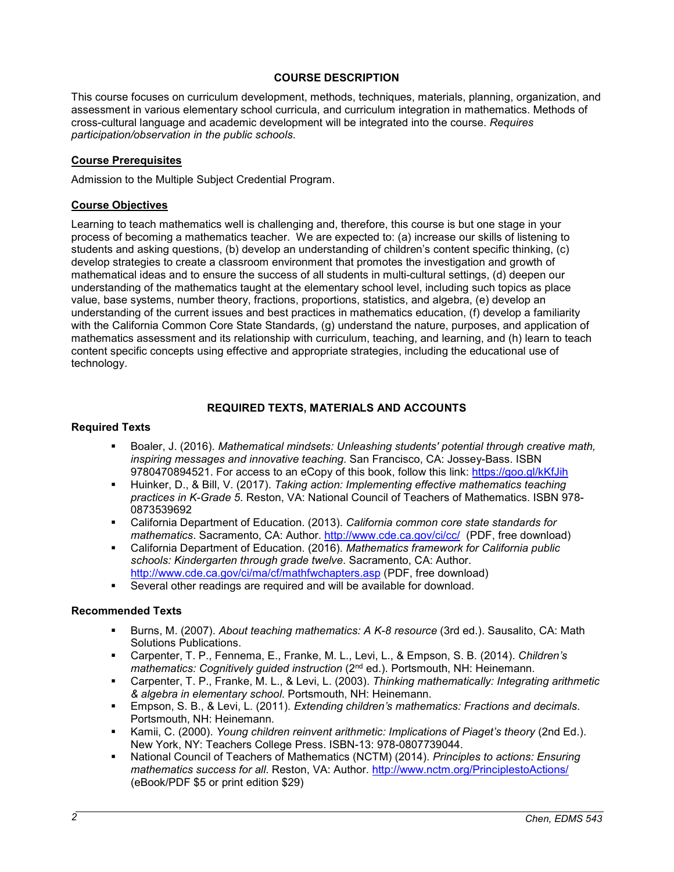### **COURSE DESCRIPTION**

This course focuses on curriculum development, methods, techniques, materials, planning, organization, and assessment in various elementary school curricula, and curriculum integration in mathematics. Methods of cross-cultural language and academic development will be integrated into the course. *Requires participation/observation in the public schools*.

## **Course Prerequisites**

Admission to the Multiple Subject Credential Program.

## **Course Objectives**

Learning to teach mathematics well is challenging and, therefore, this course is but one stage in your process of becoming a mathematics teacher. We are expected to: (a) increase our skills of listening to students and asking questions, (b) develop an understanding of children's content specific thinking, (c) develop strategies to create a classroom environment that promotes the investigation and growth of mathematical ideas and to ensure the success of all students in multi-cultural settings, (d) deepen our understanding of the mathematics taught at the elementary school level, including such topics as place value, base systems, number theory, fractions, proportions, statistics, and algebra, (e) develop an understanding of the current issues and best practices in mathematics education, (f) develop a familiarity with the California Common Core State Standards, (g) understand the nature, purposes, and application of mathematics assessment and its relationship with curriculum, teaching, and learning, and (h) learn to teach content specific concepts using effective and appropriate strategies, including the educational use of technology.

## **REQUIRED TEXTS, MATERIALS AND ACCOUNTS**

### **Required Texts**

- Boaler, J. (2016). *Mathematical mindsets: Unleashing students' potential through creative math, inspiring messages and innovative teaching*. San Francisco, CA: Jossey-Bass. ISBN 9780470894521. For access to an eCopy of this book, follow this link:<https://goo.gl/kKfJih>
- Huinker, D., & Bill, V. (2017). *Taking action: Implementing effective mathematics teaching practices in K-Grade 5*. Reston, VA: National Council of Teachers of Mathematics. ISBN 978- 0873539692
- California Department of Education. (2013). *California common core state standards for mathematics*. Sacramento, CA: Author.<http://www.cde.ca.gov/ci/cc/>(PDF, free download)
- California Department of Education. (2016). *Mathematics framework for California public schools: Kindergarten through grade twelve*. Sacramento, CA: Author. <http://www.cde.ca.gov/ci/ma/cf/mathfwchapters.asp> (PDF, free download)
- Several other readings are required and will be available for download.

## **Recommended Texts**

- Burns, M. (2007). *About teaching mathematics: A K-8 resource* (3rd ed.). Sausalito, CA: Math Solutions Publications.
- Carpenter, T. P., Fennema, E., Franke, M. L., Levi, L., & Empson, S. B. (2014). *Children's mathematics: Cognitively guided instruction* (2nd ed.). Portsmouth, NH: Heinemann.
- Carpenter, T. P., Franke, M. L., & Levi, L. (2003). *Thinking mathematically: Integrating arithmetic & algebra in elementary school*. Portsmouth, NH: Heinemann.
- Empson, S. B., & Levi, L. (2011). *Extending children's mathematics: Fractions and decimals*. Portsmouth, NH: Heinemann.
- Kamii, C. (2000). *Young children reinvent arithmetic: Implications of Piaget's theory* (2nd Ed.). New York, NY: Teachers College Press. ISBN-13: 978-0807739044.
- National Council of Teachers of Mathematics (NCTM) (2014). *Principles to actions: Ensuring mathematics success for all*. Reston, VA: Author.<http://www.nctm.org/PrinciplestoActions/> (eBook/PDF \$5 or print edition \$29)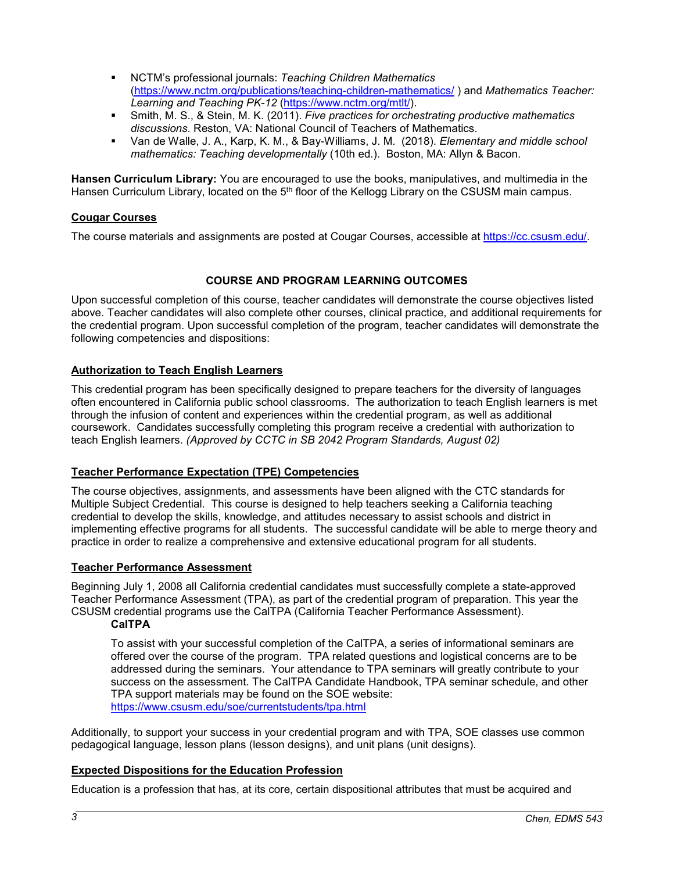- NCTM's professional journals: *Teaching Children Mathematics* [\(https://www.nctm.org/publications/teaching-children-mathematics/](https://www.nctm.org/publications/teaching-children-mathematics/) ) and *Mathematics Teacher: Learning and Teaching PK-12* [\(https://www.nctm.org/mtlt/\)](https://www.nctm.org/mtlt/).
- Smith, M. S., & Stein, M. K. (2011). *Five practices for orchestrating productive mathematics discussions*. Reston, VA: National Council of Teachers of Mathematics.
- Van de Walle, J. A., Karp, K. M., & Bay-Williams, J. M. (2018). *Elementary and middle school mathematics: Teaching developmentally* (10th ed.). Boston, MA: Allyn & Bacon.

**Hansen Curriculum Library:** You are encouraged to use the books, manipulatives, and multimedia in the Hansen Curriculum Library, located on the 5<sup>th</sup> floor of the Kellogg Library on the CSUSM main campus.

### **Cougar Courses**

The course materials and assignments are posted at Cougar Courses, accessible at [https://cc.csusm.edu/.](https://cc.csusm.edu/)

## **COURSE AND PROGRAM LEARNING OUTCOMES**

Upon successful completion of this course, teacher candidates will demonstrate the course objectives listed above. Teacher candidates will also complete other courses, clinical practice, and additional requirements for the credential program. Upon successful completion of the program, teacher candidates will demonstrate the following competencies and dispositions:

### **Authorization to Teach English Learners**

This credential program has been specifically designed to prepare teachers for the diversity of languages often encountered in California public school classrooms. The authorization to teach English learners is met through the infusion of content and experiences within the credential program, as well as additional coursework. Candidates successfully completing this program receive a credential with authorization to teach English learners. *(Approved by CCTC in SB 2042 Program Standards, August 02)*

### **Teacher Performance Expectation (TPE) Competencies**

The course objectives, assignments, and assessments have been aligned with the CTC standards for Multiple Subject Credential. This course is designed to help teachers seeking a California teaching credential to develop the skills, knowledge, and attitudes necessary to assist schools and district in implementing effective programs for all students. The successful candidate will be able to merge theory and practice in order to realize a comprehensive and extensive educational program for all students.

### **Teacher Performance Assessment**

Beginning July 1, 2008 all California credential candidates must successfully complete a state-approved Teacher Performance Assessment (TPA), as part of the credential program of preparation. This year the CSUSM credential programs use the CalTPA (California Teacher Performance Assessment).

## **CalTPA**

To assist with your successful completion of the CalTPA, a series of informational seminars are offered over the course of the program. TPA related questions and logistical concerns are to be addressed during the seminars. Your attendance to TPA seminars will greatly contribute to your success on the assessment. The CalTPA Candidate Handbook, TPA seminar schedule, and other TPA support materials may be found on the SOE website: <https://www.csusm.edu/soe/currentstudents/tpa.html>

Additionally, to support your success in your credential program and with TPA, SOE classes use common pedagogical language, lesson plans (lesson designs), and unit plans (unit designs).

## **Expected Dispositions for the Education Profession**

Education is a profession that has, at its core, certain dispositional attributes that must be acquired and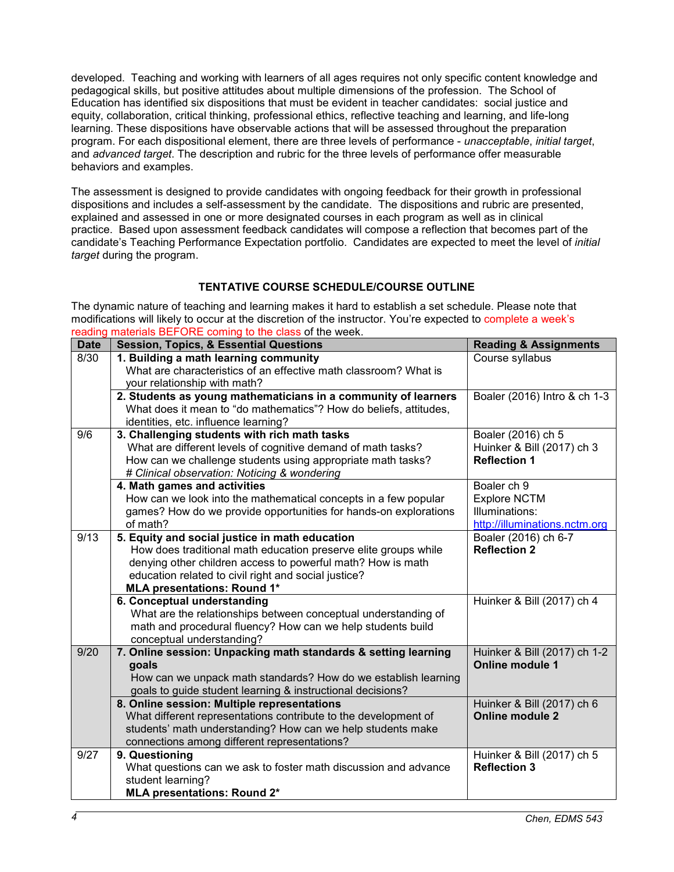developed. Teaching and working with learners of all ages requires not only specific content knowledge and pedagogical skills, but positive attitudes about multiple dimensions of the profession. The School of Education has identified six dispositions that must be evident in teacher candidates: social justice and equity, collaboration, critical thinking, professional ethics, reflective teaching and learning, and life-long learning. These dispositions have observable actions that will be assessed throughout the preparation program. For each dispositional element, there are three levels of performance - *unacceptable*, *initial target*, and *advanced target*. The description and rubric for the three levels of performance offer measurable behaviors and examples.

The assessment is designed to provide candidates with ongoing feedback for their growth in professional dispositions and includes a self-assessment by the candidate. The dispositions and rubric are presented, explained and assessed in one or more designated courses in each program as well as in clinical practice. Based upon assessment feedback candidates will compose a reflection that becomes part of the candidate's Teaching Performance Expectation portfolio. Candidates are expected to meet the level of *initial target* during the program.

# **TENTATIVE COURSE SCHEDULE/COURSE OUTLINE**

The dynamic nature of teaching and learning makes it hard to establish a set schedule. Please note that modifications will likely to occur at the discretion of the instructor. You're expected to complete a week's reading materials BEFORE coming to the class of the week.

| <b>Date</b> | <b>Session, Topics, &amp; Essential Questions</b>                                                         | <b>Reading &amp; Assignments</b>                       |
|-------------|-----------------------------------------------------------------------------------------------------------|--------------------------------------------------------|
| 8/30        | 1. Building a math learning community                                                                     | Course syllabus                                        |
|             | What are characteristics of an effective math classroom? What is                                          |                                                        |
|             | your relationship with math?                                                                              |                                                        |
|             | 2. Students as young mathematicians in a community of learners                                            | Boaler (2016) Intro & ch 1-3                           |
|             | What does it mean to "do mathematics"? How do beliefs, attitudes,                                         |                                                        |
|             | identities, etc. influence learning?                                                                      |                                                        |
| 9/6         | 3. Challenging students with rich math tasks                                                              | Boaler (2016) ch 5                                     |
|             | What are different levels of cognitive demand of math tasks?                                              | Huinker & Bill (2017) ch 3                             |
|             | How can we challenge students using appropriate math tasks?                                               | <b>Reflection 1</b>                                    |
|             | # Clinical observation: Noticing & wondering                                                              |                                                        |
|             | 4. Math games and activities                                                                              | Boaler ch 9                                            |
|             | How can we look into the mathematical concepts in a few popular                                           | <b>Explore NCTM</b>                                    |
|             | games? How do we provide opportunities for hands-on explorations                                          | Illuminations:                                         |
|             | of math?                                                                                                  | http://illuminations.nctm.org                          |
| 9/13        | 5. Equity and social justice in math education                                                            | Boaler (2016) ch 6-7                                   |
|             | How does traditional math education preserve elite groups while                                           | <b>Reflection 2</b>                                    |
|             | denying other children access to powerful math? How is math                                               |                                                        |
|             | education related to civil right and social justice?                                                      |                                                        |
|             | <b>MLA presentations: Round 1*</b>                                                                        |                                                        |
|             | 6. Conceptual understanding                                                                               | Huinker & Bill (2017) ch 4                             |
|             | What are the relationships between conceptual understanding of                                            |                                                        |
|             | math and procedural fluency? How can we help students build                                               |                                                        |
|             | conceptual understanding?                                                                                 |                                                        |
| 9/20        | 7. Online session: Unpacking math standards & setting learning                                            | Huinker & Bill (2017) ch 1-2<br><b>Online module 1</b> |
|             | goals                                                                                                     |                                                        |
|             | How can we unpack math standards? How do we establish learning                                            |                                                        |
|             | goals to guide student learning & instructional decisions?<br>8. Online session: Multiple representations |                                                        |
|             | What different representations contribute to the development of                                           | Huinker & Bill (2017) ch 6<br><b>Online module 2</b>   |
|             | students' math understanding? How can we help students make                                               |                                                        |
|             | connections among different representations?                                                              |                                                        |
| 9/27        | 9. Questioning                                                                                            | Huinker & Bill (2017) ch 5                             |
|             | What questions can we ask to foster math discussion and advance                                           | <b>Reflection 3</b>                                    |
|             | student learning?                                                                                         |                                                        |
|             | <b>MLA presentations: Round 2*</b>                                                                        |                                                        |
|             |                                                                                                           |                                                        |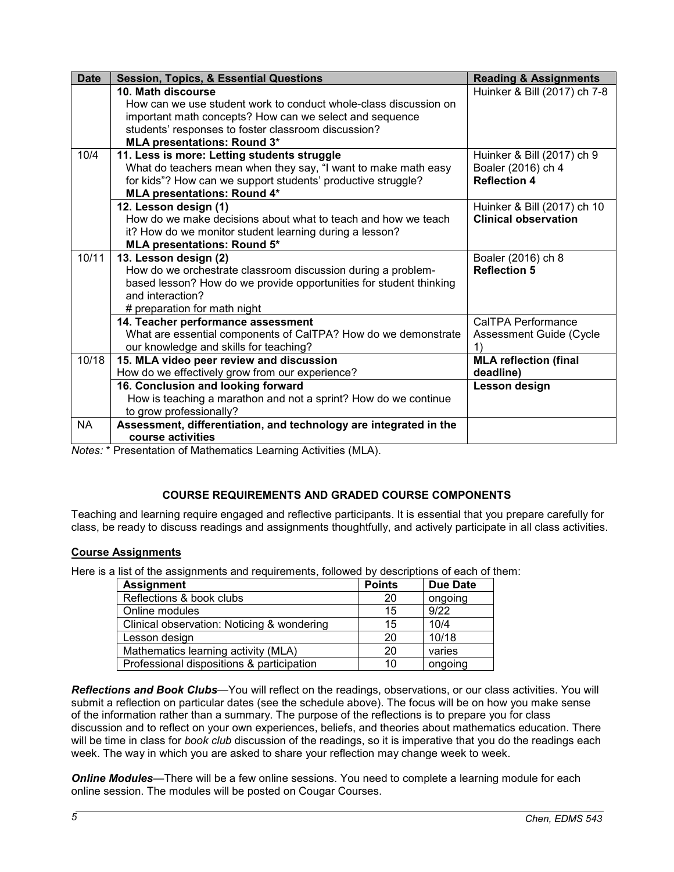| <b>Date</b> | <b>Session, Topics, &amp; Essential Questions</b>                                      | <b>Reading &amp; Assignments</b> |
|-------------|----------------------------------------------------------------------------------------|----------------------------------|
|             | 10. Math discourse                                                                     | Huinker & Bill (2017) ch 7-8     |
|             | How can we use student work to conduct whole-class discussion on                       |                                  |
|             | important math concepts? How can we select and sequence                                |                                  |
|             | students' responses to foster classroom discussion?                                    |                                  |
|             | <b>MLA presentations: Round 3*</b>                                                     |                                  |
| 10/4        | 11. Less is more: Letting students struggle                                            | Huinker & Bill (2017) ch 9       |
|             | What do teachers mean when they say, "I want to make math easy                         | Boaler (2016) ch 4               |
|             | for kids"? How can we support students' productive struggle?                           | <b>Reflection 4</b>              |
|             | <b>MLA presentations: Round 4*</b>                                                     |                                  |
|             | 12. Lesson design (1)                                                                  | Huinker & Bill (2017) ch 10      |
|             | How do we make decisions about what to teach and how we teach                          | <b>Clinical observation</b>      |
|             | it? How do we monitor student learning during a lesson?                                |                                  |
|             | <b>MLA presentations: Round 5*</b>                                                     |                                  |
| 10/11       | 13. Lesson design (2)                                                                  | Boaler (2016) ch 8               |
|             | How do we orchestrate classroom discussion during a problem-                           | <b>Reflection 5</b>              |
|             | based lesson? How do we provide opportunities for student thinking<br>and interaction? |                                  |
|             |                                                                                        |                                  |
|             | # preparation for math night<br>14. Teacher performance assessment                     | <b>CalTPA Performance</b>        |
|             | What are essential components of CalTPA? How do we demonstrate                         |                                  |
|             | our knowledge and skills for teaching?                                                 | Assessment Guide (Cycle<br>1)    |
| 10/18       | 15. MLA video peer review and discussion                                               | <b>MLA reflection (final</b>     |
|             | How do we effectively grow from our experience?                                        | deadline)                        |
|             | 16. Conclusion and looking forward                                                     | Lesson design                    |
|             | How is teaching a marathon and not a sprint? How do we continue                        |                                  |
|             | to grow professionally?                                                                |                                  |
|             |                                                                                        |                                  |
|             | course activities                                                                      |                                  |
| <b>NA</b>   | Assessment, differentiation, and technology are integrated in the                      |                                  |

*Notes:* \* Presentation of Mathematics Learning Activities (MLA).

# **COURSE REQUIREMENTS AND GRADED COURSE COMPONENTS**

Teaching and learning require engaged and reflective participants. It is essential that you prepare carefully for class, be ready to discuss readings and assignments thoughtfully, and actively participate in all class activities.

## **Course Assignments**

Here is a list of the assignments and requirements, followed by descriptions of each of them:

| <b>Assignment</b>                          | <b>Points</b> | <b>Due Date</b> |
|--------------------------------------------|---------------|-----------------|
| Reflections & book clubs                   | 20            | ongoing         |
| Online modules                             | 15            | 9/22            |
| Clinical observation: Noticing & wondering | 15            | 10/4            |
| Lesson design                              | 20            | 10/18           |
| Mathematics learning activity (MLA)        | 20            | varies          |
| Professional dispositions & participation  | 10            | ongoing         |

*Reflections and Book Clubs*—You will reflect on the readings, observations, or our class activities. You will submit a reflection on particular dates (see the schedule above). The focus will be on how you make sense of the information rather than a summary. The purpose of the reflections is to prepare you for class discussion and to reflect on your own experiences, beliefs, and theories about mathematics education. There will be time in class for *book club* discussion of the readings, so it is imperative that you do the readings each week. The way in which you are asked to share your reflection may change week to week.

*Online Modules*—There will be a few online sessions. You need to complete a learning module for each online session. The modules will be posted on Cougar Courses.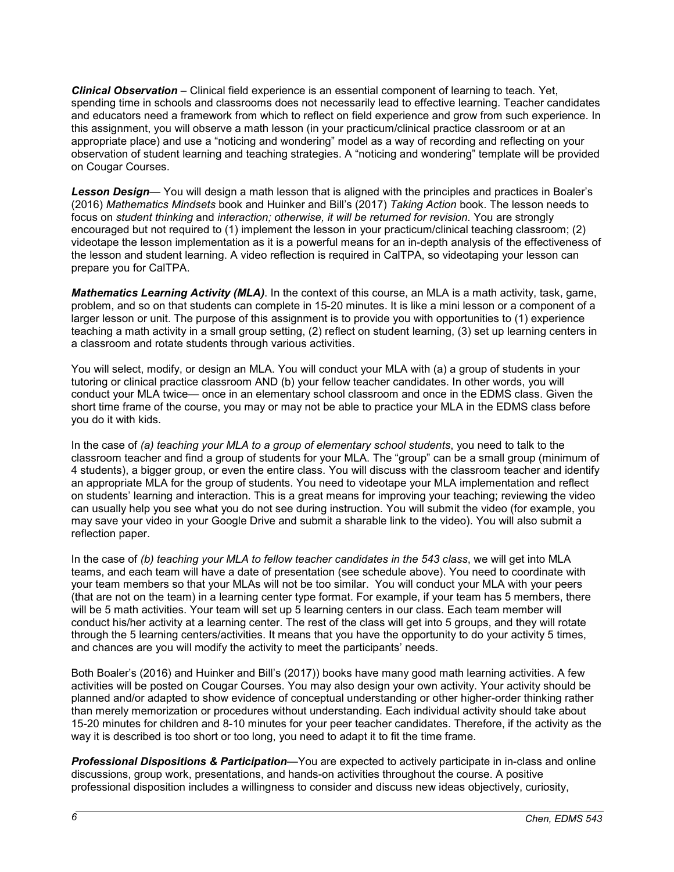*Clinical Observation* – Clinical field experience is an essential component of learning to teach. Yet, spending time in schools and classrooms does not necessarily lead to effective learning. Teacher candidates and educators need a framework from which to reflect on field experience and grow from such experience. In this assignment, you will observe a math lesson (in your practicum/clinical practice classroom or at an appropriate place) and use a "noticing and wondering" model as a way of recording and reflecting on your observation of student learning and teaching strategies. A "noticing and wondering" template will be provided on Cougar Courses.

*Lesson Design*— You will design a math lesson that is aligned with the principles and practices in Boaler's (2016) *Mathematics Mindsets* book and Huinker and Bill's (2017) *Taking Action* book. The lesson needs to focus on *student thinking* and *interaction; otherwise, it will be returned for revision*. You are strongly encouraged but not required to (1) implement the lesson in your practicum/clinical teaching classroom; (2) videotape the lesson implementation as it is a powerful means for an in-depth analysis of the effectiveness of the lesson and student learning. A video reflection is required in CalTPA, so videotaping your lesson can prepare you for CalTPA.

*Mathematics Learning Activity (MLA)*. In the context of this course, an MLA is a math activity, task, game, problem, and so on that students can complete in 15-20 minutes. It is like a mini lesson or a component of a larger lesson or unit. The purpose of this assignment is to provide you with opportunities to (1) experience teaching a math activity in a small group setting, (2) reflect on student learning, (3) set up learning centers in a classroom and rotate students through various activities.

You will select, modify, or design an MLA. You will conduct your MLA with (a) a group of students in your tutoring or clinical practice classroom AND (b) your fellow teacher candidates. In other words, you will conduct your MLA twice— once in an elementary school classroom and once in the EDMS class. Given the short time frame of the course, you may or may not be able to practice your MLA in the EDMS class before you do it with kids.

In the case of *(a) teaching your MLA to a group of elementary school students*, you need to talk to the classroom teacher and find a group of students for your MLA. The "group" can be a small group (minimum of 4 students), a bigger group, or even the entire class. You will discuss with the classroom teacher and identify an appropriate MLA for the group of students. You need to videotape your MLA implementation and reflect on students' learning and interaction. This is a great means for improving your teaching; reviewing the video can usually help you see what you do not see during instruction. You will submit the video (for example, you may save your video in your Google Drive and submit a sharable link to the video). You will also submit a reflection paper.

In the case of *(b) teaching your MLA to fellow teacher candidates in the 543 class*, we will get into MLA teams, and each team will have a date of presentation (see schedule above). You need to coordinate with your team members so that your MLAs will not be too similar. You will conduct your MLA with your peers (that are not on the team) in a learning center type format. For example, if your team has 5 members, there will be 5 math activities. Your team will set up 5 learning centers in our class. Each team member will conduct his/her activity at a learning center. The rest of the class will get into 5 groups, and they will rotate through the 5 learning centers/activities. It means that you have the opportunity to do your activity 5 times, and chances are you will modify the activity to meet the participants' needs.

Both Boaler's (2016) and Huinker and Bill's (2017)) books have many good math learning activities. A few activities will be posted on Cougar Courses. You may also design your own activity. Your activity should be planned and/or adapted to show evidence of conceptual understanding or other higher-order thinking rather than merely memorization or procedures without understanding. Each individual activity should take about 15-20 minutes for children and 8-10 minutes for your peer teacher candidates. Therefore, if the activity as the way it is described is too short or too long, you need to adapt it to fit the time frame.

*Professional Dispositions & Participation*—You are expected to actively participate in in-class and online discussions, group work, presentations, and hands-on activities throughout the course. A positive professional disposition includes a willingness to consider and discuss new ideas objectively, curiosity,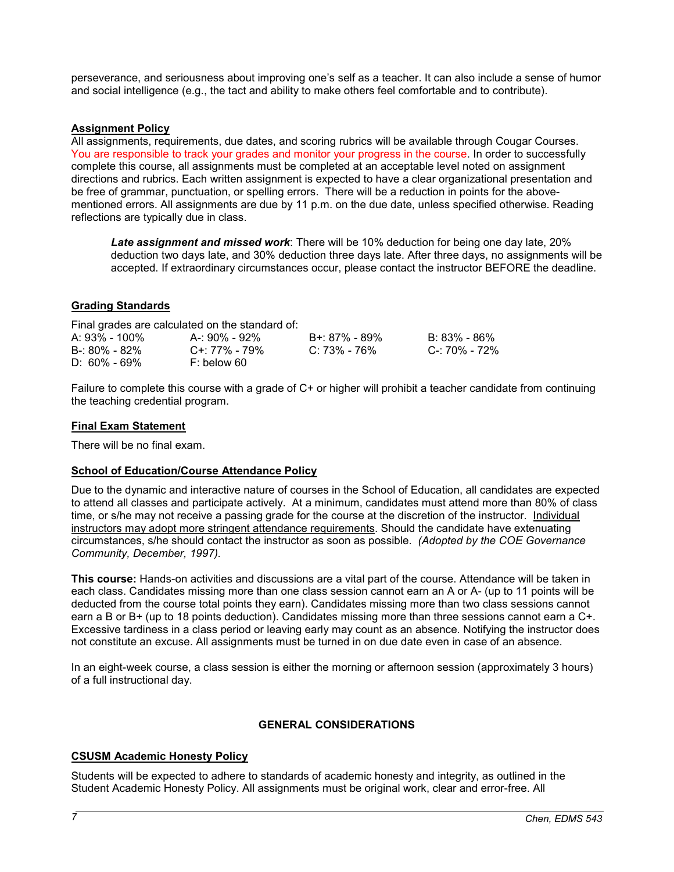perseverance, and seriousness about improving one's self as a teacher. It can also include a sense of humor and social intelligence (e.g., the tact and ability to make others feel comfortable and to contribute).

### **Assignment Policy**

All assignments, requirements, due dates, and scoring rubrics will be available through Cougar Courses. You are responsible to track your grades and monitor your progress in the course. In order to successfully complete this course, all assignments must be completed at an acceptable level noted on assignment directions and rubrics. Each written assignment is expected to have a clear organizational presentation and be free of grammar, punctuation, or spelling errors. There will be a reduction in points for the abovementioned errors. All assignments are due by 11 p.m. on the due date, unless specified otherwise. Reading reflections are typically due in class.

*Late assignment and missed work*: There will be 10% deduction for being one day late, 20% deduction two days late, and 30% deduction three days late. After three days, no assignments will be accepted. If extraordinary circumstances occur, please contact the instructor BEFORE the deadline.

## **Grading Standards**

| Final grades are calculated on the standard of: |                  |               |               |  |  |  |
|-------------------------------------------------|------------------|---------------|---------------|--|--|--|
| A: 93% - 100%                                   | A-: 90% - 92%    | B+: 87% - 89% | B: 83% - 86%  |  |  |  |
| $B - 80\% - 82\%$                               | $C+177\% - 79\%$ | C: 73% - 76%  | C-: 70% - 72% |  |  |  |
| $D: 60\% - 69\%$                                | $F:$ below 60    |               |               |  |  |  |

Failure to complete this course with a grade of C+ or higher will prohibit a teacher candidate from continuing the teaching credential program.

### **Final Exam Statement**

There will be no final exam.

### **School of Education/Course Attendance Policy**

Due to the dynamic and interactive nature of courses in the School of Education, all candidates are expected to attend all classes and participate actively. At a minimum, candidates must attend more than 80% of class time, or s/he may not receive a passing grade for the course at the discretion of the instructor. Individual instructors may adopt more stringent attendance requirements. Should the candidate have extenuating circumstances, s/he should contact the instructor as soon as possible. *(Adopted by the COE Governance Community, December, 1997).*

**This course:** Hands-on activities and discussions are a vital part of the course. Attendance will be taken in each class. Candidates missing more than one class session cannot earn an A or A- (up to 11 points will be deducted from the course total points they earn). Candidates missing more than two class sessions cannot earn a B or B+ (up to 18 points deduction). Candidates missing more than three sessions cannot earn a C+. Excessive tardiness in a class period or leaving early may count as an absence. Notifying the instructor does not constitute an excuse. All assignments must be turned in on due date even in case of an absence.

In an eight-week course, a class session is either the morning or afternoon session (approximately 3 hours) of a full instructional day.

## **GENERAL CONSIDERATIONS**

## **CSUSM Academic Honesty Policy**

Students will be expected to adhere to standards of academic honesty and integrity, as outlined in the Student Academic Honesty Policy. All assignments must be original work, clear and error-free. All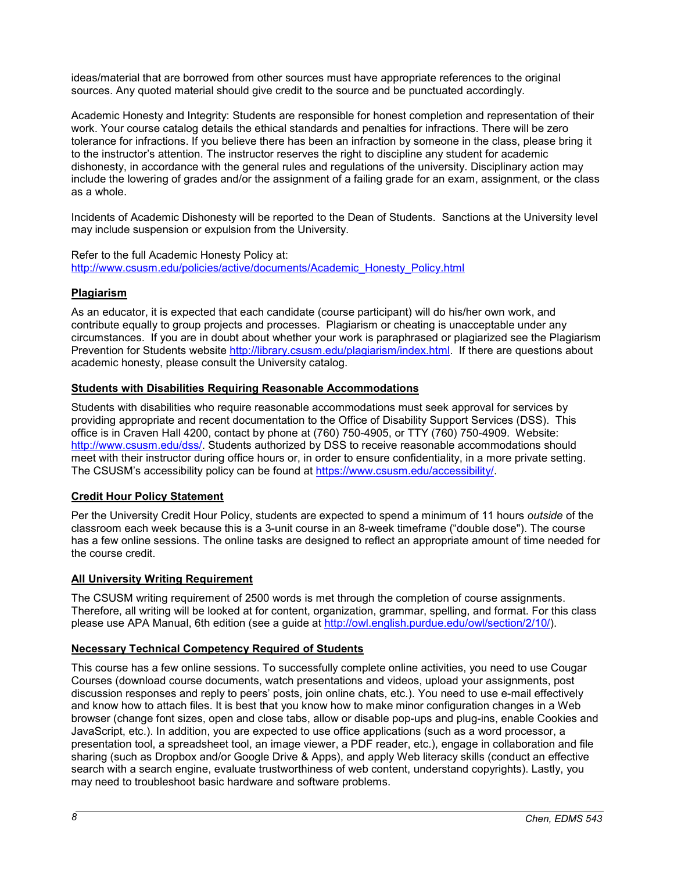ideas/material that are borrowed from other sources must have appropriate references to the original sources. Any quoted material should give credit to the source and be punctuated accordingly.

Academic Honesty and Integrity: Students are responsible for honest completion and representation of their work. Your course catalog details the ethical standards and penalties for infractions. There will be zero tolerance for infractions. If you believe there has been an infraction by someone in the class, please bring it to the instructor's attention. The instructor reserves the right to discipline any student for academic dishonesty, in accordance with the general rules and regulations of the university. Disciplinary action may include the lowering of grades and/or the assignment of a failing grade for an exam, assignment, or the class as a whole.

Incidents of Academic Dishonesty will be reported to the Dean of Students. Sanctions at the University level may include suspension or expulsion from the University.

Refer to the full Academic Honesty Policy at: [http://www.csusm.edu/policies/active/documents/Academic\\_Honesty\\_Policy.html](http://www.csusm.edu/policies/active/documents/Academic_Honesty_Policy.html)

### **Plagiarism**

As an educator, it is expected that each candidate (course participant) will do his/her own work, and contribute equally to group projects and processes. Plagiarism or cheating is unacceptable under any circumstances. If you are in doubt about whether your work is paraphrased or plagiarized see the Plagiarism Prevention for Students website [http://library.csusm.edu/plagiarism/index.html.](http://library.csusm.edu/plagiarism/index.html) If there are questions about academic honesty, please consult the University catalog.

### **Students with Disabilities Requiring Reasonable Accommodations**

Students with disabilities who require reasonable accommodations must seek approval for services by providing appropriate and recent documentation to the Office of Disability Support Services (DSS). This office is in Craven Hall 4200, contact by phone at (760) 750-4905, or TTY (760) 750-4909. Website: [http://www.csusm.edu/dss/.](http://www.csusm.edu/dss/) Students authorized by DSS to receive reasonable accommodations should meet with their instructor during office hours or, in order to ensure confidentiality, in a more private setting. The CSUSM's accessibility policy can be found at [https://www.csusm.edu/accessibility/.](https://www.csusm.edu/accessibility/)

## **Credit Hour Policy Statement**

Per the University Credit Hour Policy, students are expected to spend a minimum of 11 hours *outside* of the classroom each week because this is a 3-unit course in an 8-week timeframe ("double dose"). The course has a few online sessions. The online tasks are designed to reflect an appropriate amount of time needed for the course credit.

## **All University Writing Requirement**

The CSUSM writing requirement of 2500 words is met through the completion of course assignments. Therefore, all writing will be looked at for content, organization, grammar, spelling, and format. For this class please use APA Manual, 6th edition (see a guide at [http://owl.english.purdue.edu/owl/section/2/10/\)](http://owl.english.purdue.edu/owl/section/2/10/).

### **Necessary Technical Competency Required of Students**

This course has a few online sessions. To successfully complete online activities, you need to use Cougar Courses (download course documents, watch presentations and videos, upload your assignments, post discussion responses and reply to peers' posts, join online chats, etc.). You need to use e-mail effectively and know how to attach files. It is best that you know how to make minor configuration changes in a Web browser (change font sizes, open and close tabs, allow or disable pop-ups and plug-ins, enable Cookies and JavaScript, etc.). In addition, you are expected to use office applications (such as a word processor, a presentation tool, a spreadsheet tool, an image viewer, a PDF reader, etc.), engage in collaboration and file sharing (such as Dropbox and/or Google Drive & Apps), and apply Web literacy skills (conduct an effective search with a search engine, evaluate trustworthiness of web content, understand copyrights). Lastly, you may need to troubleshoot basic hardware and software problems.